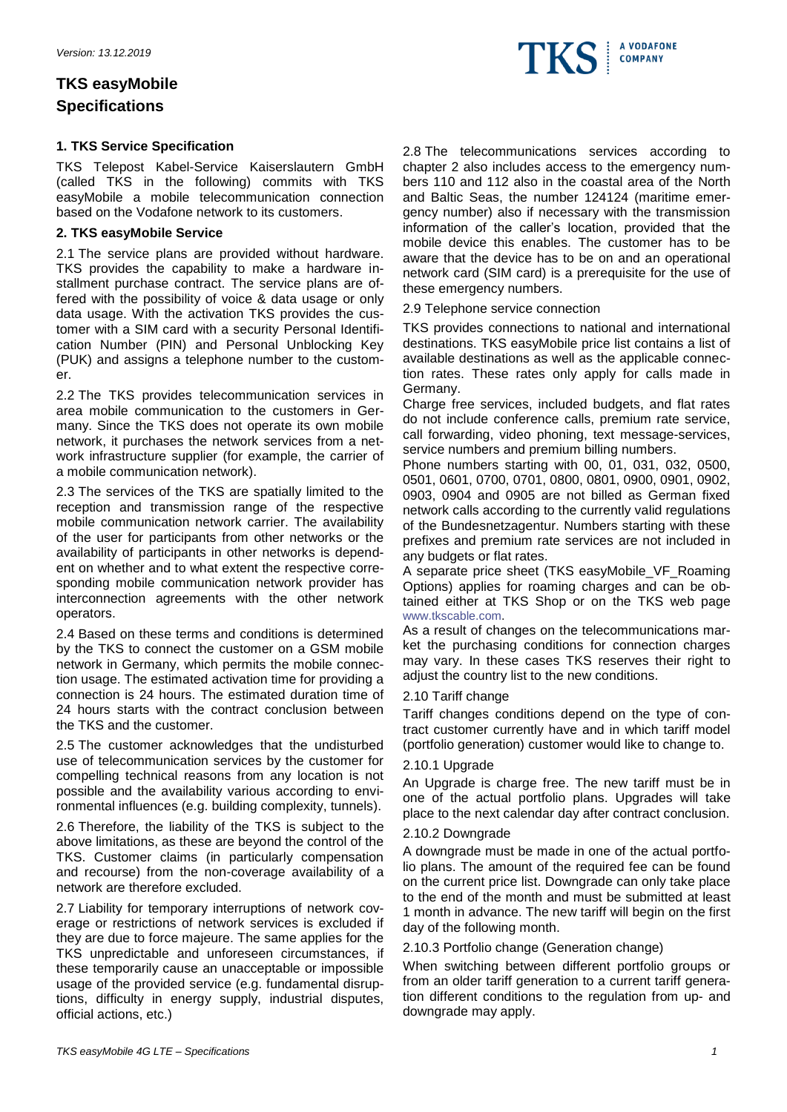# **TKS easyMobile Specifications**

## **1. TKS Service Specification**

TKS Telepost Kabel-Service Kaiserslautern GmbH (called TKS in the following) commits with TKS easyMobile a mobile telecommunication connection based on the Vodafone network to its customers.

## **2. TKS easyMobile Service**

2.1 The service plans are provided without hardware. TKS provides the capability to make a hardware installment purchase contract. The service plans are offered with the possibility of voice & data usage or only data usage. With the activation TKS provides the customer with a SIM card with a security Personal Identification Number (PIN) and Personal Unblocking Key (PUK) and assigns a telephone number to the customer.

2.2 The TKS provides telecommunication services in area mobile communication to the customers in Germany. Since the TKS does not operate its own mobile network, it purchases the network services from a network infrastructure supplier (for example, the carrier of a mobile communication network).

2.3 The services of the TKS are spatially limited to the reception and transmission range of the respective mobile communication network carrier. The availability of the user for participants from other networks or the availability of participants in other networks is dependent on whether and to what extent the respective corresponding mobile communication network provider has interconnection agreements with the other network operators.

2.4 Based on these terms and conditions is determined by the TKS to connect the customer on a GSM mobile network in Germany, which permits the mobile connection usage. The estimated activation time for providing a connection is 24 hours. The estimated duration time of 24 hours starts with the contract conclusion between the TKS and the customer.

2.5 The customer acknowledges that the undisturbed use of telecommunication services by the customer for compelling technical reasons from any location is not possible and the availability various according to environmental influences (e.g. building complexity, tunnels).

2.6 Therefore, the liability of the TKS is subject to the above limitations, as these are beyond the control of the TKS. Customer claims (in particularly compensation and recourse) from the non-coverage availability of a network are therefore excluded.

2.7 Liability for temporary interruptions of network coverage or restrictions of network services is excluded if they are due to force majeure. The same applies for the TKS unpredictable and unforeseen circumstances, if these temporarily cause an unacceptable or impossible usage of the provided service (e.g. fundamental disruptions, difficulty in energy supply, industrial disputes, official actions, etc.)

2.8 The telecommunications services according to chapter 2 also includes access to the emergency numbers 110 and 112 also in the coastal area of the North and Baltic Seas, the number 124124 (maritime emergency number) also if necessary with the transmission information of the caller's location, provided that the mobile device this enables. The customer has to be aware that the device has to be on and an operational network card (SIM card) is a prerequisite for the use of these emergency numbers.

2.9 Telephone service connection

TKS provides connections to national and international destinations. TKS easyMobile price list contains a list of available destinations as well as the applicable connection rates. These rates only apply for calls made in Germany.

Charge free services, included budgets, and flat rates do not include conference calls, premium rate service, call forwarding, video phoning, text message-services, service numbers and premium billing numbers.

Phone numbers starting with 00, 01, 031, 032, 0500, 0501, 0601, 0700, 0701, 0800, 0801, 0900, 0901, 0902, 0903, 0904 and 0905 are not billed as German fixed network calls according to the currently valid regulations of the Bundesnetzagentur. Numbers starting with these prefixes and premium rate services are not included in any budgets or flat rates.

A separate price sheet (TKS easyMobile\_VF\_Roaming Options) applies for roaming charges and can be obtained either at TKS Shop or on the TKS web page [www.tkscable.com.](http://www.tkscable.com/)

As a result of changes on the telecommunications market the purchasing conditions for connection charges may vary. In these cases TKS reserves their right to adjust the country list to the new conditions.

## 2.10 Tariff change

Tariff changes conditions depend on the type of contract customer currently have and in which tariff model (portfolio generation) customer would like to change to.

## 2.10.1 Upgrade

An Upgrade is charge free. The new tariff must be in one of the actual portfolio plans. Upgrades will take place to the next calendar day after contract conclusion.

## 2.10.2 Downgrade

A downgrade must be made in one of the actual portfolio plans. The amount of the required fee can be found on the current price list. Downgrade can only take place to the end of the month and must be submitted at least 1 month in advance. The new tariff will begin on the first day of the following month.

## 2.10.3 Portfolio change (Generation change)

When switching between different portfolio groups or from an older tariff generation to a current tariff generation different conditions to the regulation from up- and downgrade may apply.

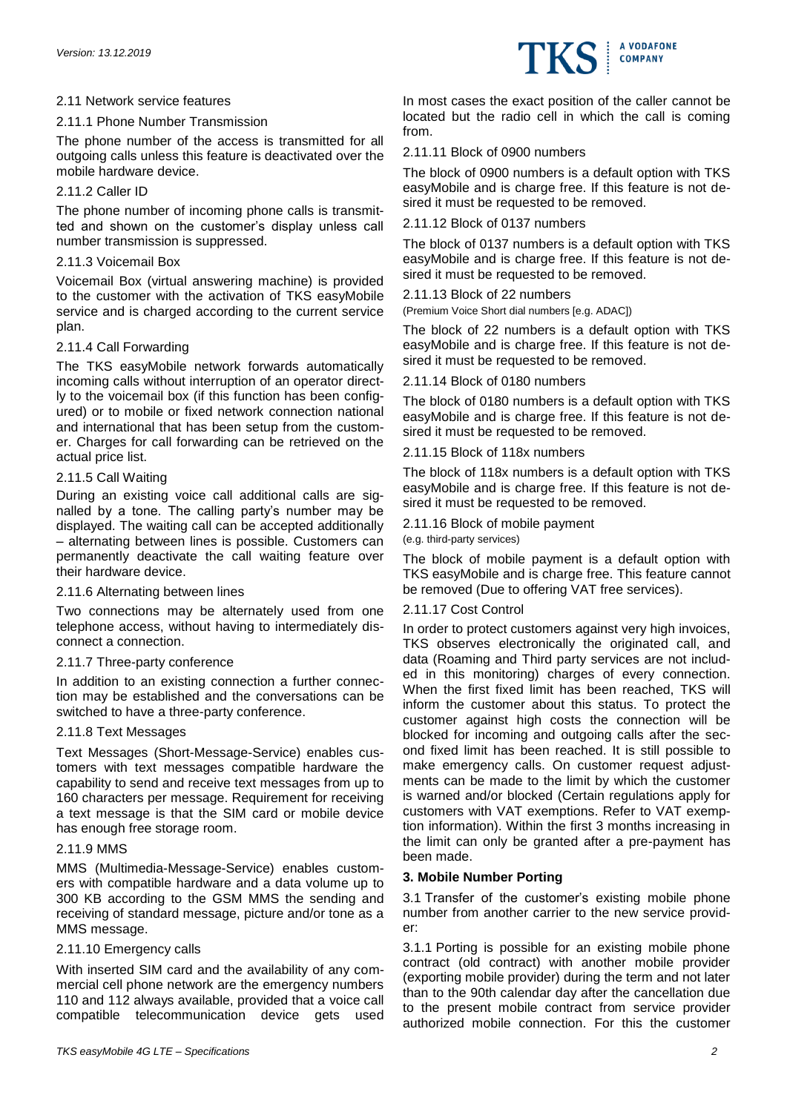## 2.11 Network service features

## 2.11.1 Phone Number Transmission

The phone number of the access is transmitted for all outgoing calls unless this feature is deactivated over the mobile hardware device.

## 2.11.2 Caller ID

The phone number of incoming phone calls is transmitted and shown on the customer's display unless call number transmission is suppressed.

## 2.11.3 Voicemail Box

Voicemail Box (virtual answering machine) is provided to the customer with the activation of TKS easyMobile service and is charged according to the current service plan.

## 2.11.4 Call Forwarding

The TKS easyMobile network forwards automatically incoming calls without interruption of an operator directly to the voicemail box (if this function has been configured) or to mobile or fixed network connection national and international that has been setup from the customer. Charges for call forwarding can be retrieved on the actual price list.

## 2.11.5 Call Waiting

During an existing voice call additional calls are signalled by a tone. The calling party's number may be displayed. The waiting call can be accepted additionally – alternating between lines is possible. Customers can permanently deactivate the call waiting feature over their hardware device.

## 2.11.6 Alternating between lines

Two connections may be alternately used from one telephone access, without having to intermediately disconnect a connection.

## 2.11.7 Three-party conference

In addition to an existing connection a further connection may be established and the conversations can be switched to have a three-party conference.

## 2.11.8 Text Messages

Text Messages (Short-Message-Service) enables customers with text messages compatible hardware the capability to send and receive text messages from up to 160 characters per message. Requirement for receiving a text message is that the SIM card or mobile device has enough free storage room.

## 2.11.9 MMS

MMS (Multimedia-Message-Service) enables customers with compatible hardware and a data volume up to 300 KB according to the GSM MMS the sending and receiving of standard message, picture and/or tone as a MMS message.

## 2.11.10 Emergency calls

With inserted SIM card and the availability of any commercial cell phone network are the emergency numbers 110 and 112 always available, provided that a voice call compatible telecommunication device gets used



## 2.11.11 Block of 0900 numbers

The block of 0900 numbers is a default option with TKS easyMobile and is charge free. If this feature is not desired it must be requested to be removed.

2.11.12 Block of 0137 numbers

The block of 0137 numbers is a default option with TKS easyMobile and is charge free. If this feature is not desired it must be requested to be removed.

2.11.13 Block of 22 numbers

(Premium Voice Short dial numbers [e.g. ADAC])

The block of 22 numbers is a default option with TKS easyMobile and is charge free. If this feature is not desired it must be requested to be removed.

2.11.14 Block of 0180 numbers

The block of 0180 numbers is a default option with TKS easyMobile and is charge free. If this feature is not desired it must be requested to be removed.

2.11.15 Block of 118x numbers

The block of 118x numbers is a default option with TKS easyMobile and is charge free. If this feature is not desired it must be requested to be removed.

2.11.16 Block of mobile payment

(e.g. third-party services)

The block of mobile payment is a default option with TKS easyMobile and is charge free. This feature cannot be removed (Due to offering VAT free services).

## 2.11.17 Cost Control

In order to protect customers against very high invoices, TKS observes electronically the originated call, and data (Roaming and Third party services are not included in this monitoring) charges of every connection. When the first fixed limit has been reached, TKS will inform the customer about this status. To protect the customer against high costs the connection will be blocked for incoming and outgoing calls after the second fixed limit has been reached. It is still possible to make emergency calls. On customer request adjustments can be made to the limit by which the customer is warned and/or blocked (Certain regulations apply for customers with VAT exemptions. Refer to VAT exemption information). Within the first 3 months increasing in the limit can only be granted after a pre-payment has been made.

## **3. Mobile Number Porting**

3.1 Transfer of the customer's existing mobile phone number from another carrier to the new service provider:

3.1.1 Porting is possible for an existing mobile phone contract (old contract) with another mobile provider (exporting mobile provider) during the term and not later than to the 90th calendar day after the cancellation due to the present mobile contract from service provider authorized mobile connection. For this the customer

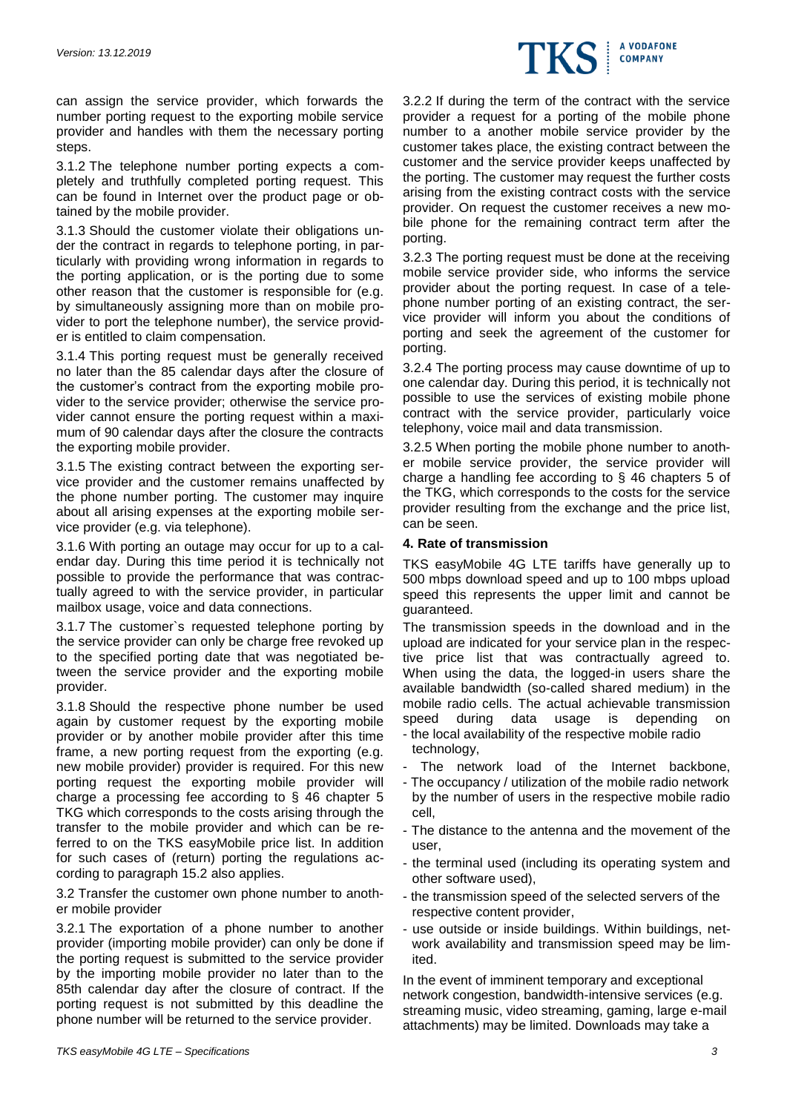

can assign the service provider, which forwards the number porting request to the exporting mobile service provider and handles with them the necessary porting steps.

3.1.2 The telephone number porting expects a completely and truthfully completed porting request. This can be found in Internet over the product page or obtained by the mobile provider.

3.1.3 Should the customer violate their obligations under the contract in regards to telephone porting, in particularly with providing wrong information in regards to the porting application, or is the porting due to some other reason that the customer is responsible for (e.g. by simultaneously assigning more than on mobile provider to port the telephone number), the service provider is entitled to claim compensation.

3.1.4 This porting request must be generally received no later than the 85 calendar days after the closure of the customer's contract from the exporting mobile provider to the service provider; otherwise the service provider cannot ensure the porting request within a maximum of 90 calendar days after the closure the contracts the exporting mobile provider.

3.1.5 The existing contract between the exporting service provider and the customer remains unaffected by the phone number porting. The customer may inquire about all arising expenses at the exporting mobile service provider (e.g. via telephone).

3.1.6 With porting an outage may occur for up to a calendar day. During this time period it is technically not possible to provide the performance that was contractually agreed to with the service provider, in particular mailbox usage, voice and data connections.

3.1.7 The customer`s requested telephone porting by the service provider can only be charge free revoked up to the specified porting date that was negotiated between the service provider and the exporting mobile provider.

3.1.8 Should the respective phone number be used again by customer request by the exporting mobile provider or by another mobile provider after this time frame, a new porting request from the exporting (e.g. new mobile provider) provider is required. For this new porting request the exporting mobile provider will charge a processing fee according to § 46 chapter 5 TKG which corresponds to the costs arising through the transfer to the mobile provider and which can be referred to on the TKS easyMobile price list. In addition for such cases of (return) porting the regulations according to paragraph 15.2 also applies.

3.2 Transfer the customer own phone number to another mobile provider

3.2.1 The exportation of a phone number to another provider (importing mobile provider) can only be done if the porting request is submitted to the service provider by the importing mobile provider no later than to the 85th calendar day after the closure of contract. If the porting request is not submitted by this deadline the phone number will be returned to the service provider.

3.2.2 If during the term of the contract with the service provider a request for a porting of the mobile phone number to a another mobile service provider by the customer takes place, the existing contract between the customer and the service provider keeps unaffected by the porting. The customer may request the further costs arising from the existing contract costs with the service provider. On request the customer receives a new mobile phone for the remaining contract term after the porting.

3.2.3 The porting request must be done at the receiving mobile service provider side, who informs the service provider about the porting request. In case of a telephone number porting of an existing contract, the service provider will inform you about the conditions of porting and seek the agreement of the customer for porting.

3.2.4 The porting process may cause downtime of up to one calendar day. During this period, it is technically not possible to use the services of existing mobile phone contract with the service provider, particularly voice telephony, voice mail and data transmission.

3.2.5 When porting the mobile phone number to another mobile service provider, the service provider will charge a handling fee according to § 46 chapters 5 of the TKG, which corresponds to the costs for the service provider resulting from the exchange and the price list, can be seen.

## **4. Rate of transmission**

TKS easyMobile 4G LTE tariffs have generally up to 500 mbps download speed and up to 100 mbps upload speed this represents the upper limit and cannot be guaranteed.

The transmission speeds in the download and in the upload are indicated for your service plan in the respective price list that was contractually agreed to. When using the data, the logged-in users share the available bandwidth (so-called shared medium) in the mobile radio cells. The actual achievable transmission speed during data usage is depending on - the local availability of the respective mobile radio technology,

- The network load of the Internet backbone,
- The occupancy / utilization of the mobile radio network by the number of users in the respective mobile radio cell,
- The distance to the antenna and the movement of the user,
- the terminal used (including its operating system and other software used),
- the transmission speed of the selected servers of the respective content provider,
- use outside or inside buildings. Within buildings, network availability and transmission speed may be limited.

In the event of imminent temporary and exceptional network congestion, bandwidth-intensive services (e.g. streaming music, video streaming, gaming, large e-mail attachments) may be limited. Downloads may take a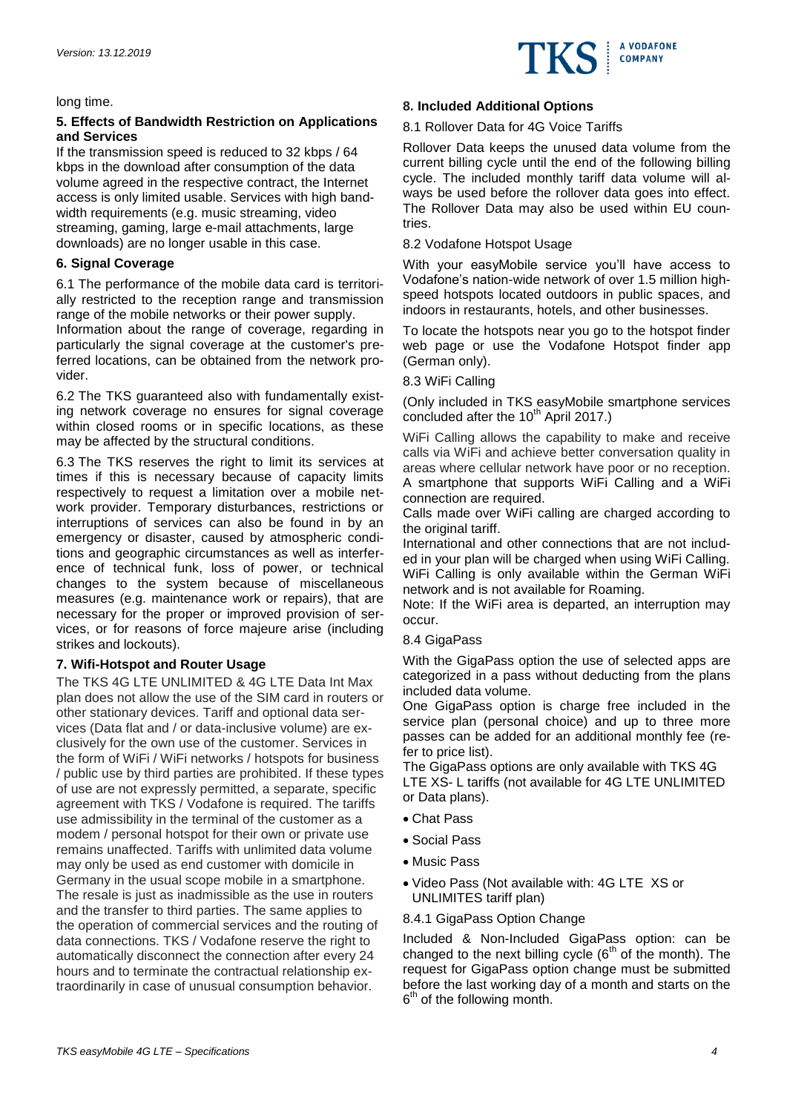

long time.

# **5. Effects of Bandwidth Restriction on Applications and Services**

If the transmission speed is reduced to 32 kbps / 64 kbps in the download after consumption of the data volume agreed in the respective contract, the Internet access is only limited usable. Services with high bandwidth requirements (e.g. music streaming, video streaming, gaming, large e-mail attachments, large downloads) are no longer usable in this case.

# **6. Signal Coverage**

6.1 The performance of the mobile data card is territorially restricted to the reception range and transmission range of the mobile networks or their power supply.

Information about the range of coverage, regarding in particularly the signal coverage at the customer's preferred locations, can be obtained from the network provider.

6.2 The TKS guaranteed also with fundamentally existing network coverage no ensures for signal coverage within closed rooms or in specific locations, as these may be affected by the structural conditions.

6.3 The TKS reserves the right to limit its services at times if this is necessary because of capacity limits respectively to request a limitation over a mobile network provider. Temporary disturbances, restrictions or interruptions of services can also be found in by an emergency or disaster, caused by atmospheric conditions and geographic circumstances as well as interference of technical funk, loss of power, or technical changes to the system because of miscellaneous measures (e.g. maintenance work or repairs), that are necessary for the proper or improved provision of services, or for reasons of force majeure arise (including strikes and lockouts).

# **7. Wifi-Hotspot and Router Usage**

The TKS 4G LTE UNLIMITED & 4G LTE Data Int Max plan does not allow the use of the SIM card in routers or other stationary devices. Tariff and optional data services (Data flat and / or data-inclusive volume) are exclusively for the own use of the customer. Services in the form of WiFi / WiFi networks / hotspots for business / public use by third parties are prohibited. If these types of use are not expressly permitted, a separate, specific agreement with TKS / Vodafone is required. The tariffs use admissibility in the terminal of the customer as a modem / personal hotspot for their own or private use remains unaffected. Tariffs with unlimited data volume may only be used as end customer with domicile in Germany in the usual scope mobile in a smartphone. The resale is just as inadmissible as the use in routers and the transfer to third parties. The same applies to the operation of commercial services and the routing of data connections. TKS / Vodafone reserve the right to automatically disconnect the connection after every 24 hours and to terminate the contractual relationship extraordinarily in case of unusual consumption behavior.

# **8. Included Additional Options**

## 8.1 Rollover Data for 4G Voice Tariffs

Rollover Data keeps the unused data volume from the current billing cycle until the end of the following billing cycle. The included monthly tariff data volume will always be used before the rollover data goes into effect. The Rollover Data may also be used within EU countries.

## 8.2 Vodafone Hotspot Usage

With your easyMobile service you'll have access to Vodafone's nation-wide network of over 1.5 million highspeed hotspots located outdoors in public spaces, and indoors in restaurants, hotels, and other businesses.

To locate the hotspots near you go to the hotspot finder web page or use the Vodafone Hotspot finder app (German only).

## 8.3 WiFi Calling

(Only included in TKS easyMobile smartphone services concluded after the  $10<sup>th</sup>$  April 2017.)

WiFi Calling allows the capability to make and receive calls via WiFi and achieve better conversation quality in areas where cellular network have poor or no reception. A smartphone that supports WiFi Calling and a WiFi connection are required.

Calls made over WiFi calling are charged according to the original tariff.

International and other connections that are not included in your plan will be charged when using WiFi Calling. WiFi Calling is only available within the German WiFi network and is not available for Roaming.

Note: If the WiFi area is departed, an interruption may occur.

## 8.4 GigaPass

With the GigaPass option the use of selected apps are categorized in a pass without deducting from the plans included data volume.

One GigaPass option is charge free included in the service plan (personal choice) and up to three more passes can be added for an additional monthly fee (refer to price list).

The GigaPass options are only available with TKS 4G LTE XS- L tariffs (not available for 4G LTE UNLIMITED or Data plans).

- Chat Pass
- Social Pass
- Music Pass
- Video Pass (Not available with: 4G LTE XS or UNLIMITES tariff plan)
- 8.4.1 GigaPass Option Change

Included & Non-Included GigaPass option: can be changed to the next billing cycle  $(6<sup>th</sup>$  of the month). The request for GigaPass option change must be submitted before the last working day of a month and starts on the  $6<sup>th</sup>$  of the following month.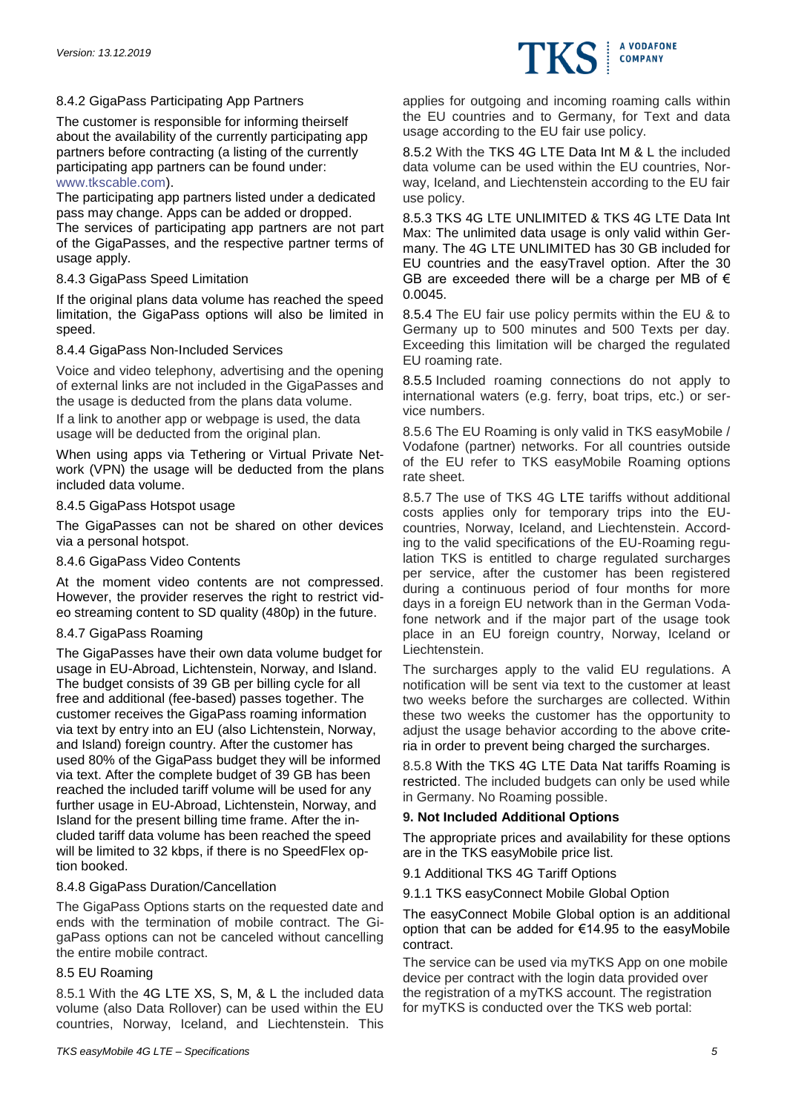# 8.4.2 GigaPass Participating App Partners

The customer is responsible for informing theirself about the availability of the currently participating app partners before contracting (a listing of the currently participating app partners can be found under: [www.tkscable.com\)](http://www.tkscable.com/).

The participating app partners listed under a dedicated pass may change. Apps can be added or dropped. The services of participating app partners are not part of the GigaPasses, and the respective partner terms of usage apply.

## 8.4.3 GigaPass Speed Limitation

If the original plans data volume has reached the speed limitation, the GigaPass options will also be limited in speed.

## 8.4.4 GigaPass Non-Included Services

Voice and video telephony, advertising and the opening of external links are not included in the GigaPasses and the usage is deducted from the plans data volume.

If a link to another app or webpage is used, the data usage will be deducted from the original plan.

When using apps via Tethering or Virtual Private Network (VPN) the usage will be deducted from the plans included data volume.

## 8.4.5 GigaPass Hotspot usage

The GigaPasses can not be shared on other devices via a personal hotspot.

## 8.4.6 GigaPass Video Contents

At the moment video contents are not compressed. However, the provider reserves the right to restrict video streaming content to SD quality (480p) in the future.

## 8.4.7 GigaPass Roaming

The GigaPasses have their own data volume budget for usage in EU-Abroad, Lichtenstein, Norway, and Island. The budget consists of 39 GB per billing cycle for all free and additional (fee-based) passes together. The customer receives the GigaPass roaming information via text by entry into an EU (also Lichtenstein, Norway, and Island) foreign country. After the customer has used 80% of the GigaPass budget they will be informed via text. After the complete budget of 39 GB has been reached the included tariff volume will be used for any further usage in EU-Abroad, Lichtenstein, Norway, and Island for the present billing time frame. After the included tariff data volume has been reached the speed will be limited to 32 kbps, if there is no SpeedFlex option booked.

## 8.4.8 GigaPass Duration/Cancellation

The GigaPass Options starts on the requested date and ends with the termination of mobile contract. The GigaPass options can not be canceled without cancelling the entire mobile contract.

## 8.5 EU Roaming

8.5.1 With the 4G LTE XS, S, M, & L the included data volume (also Data Rollover) can be used within the EU countries, Norway, Iceland, and Liechtenstein. This applies for outgoing and incoming roaming calls within the EU countries and to Germany, for Text and data usage according to the EU fair use policy.

**A VODAFONE COMPANY** 

8.5.2 With the TKS 4G LTE Data Int M & L the included data volume can be used within the EU countries, Norway, Iceland, and Liechtenstein according to the EU fair use policy.

8.5.3 TKS 4G LTE UNLIMITED & TKS 4G LTE Data Int Max: The unlimited data usage is only valid within Germany. The 4G LTE UNLIMITED has 30 GB included for EU countries and the easyTravel option. After the 30 GB are exceeded there will be a charge per MB of  $\epsilon$ 0.0045.

8.5.4 The EU fair use policy permits within the EU & to Germany up to 500 minutes and 500 Texts per day. Exceeding this limitation will be charged the regulated EU roaming rate.

8.5.5 Included roaming connections do not apply to international waters (e.g. ferry, boat trips, etc.) or service numbers.

8.5.6 The EU Roaming is only valid in TKS easyMobile / Vodafone (partner) networks. For all countries outside of the EU refer to TKS easyMobile Roaming options rate sheet.

8.5.7 The use of TKS 4G LTE tariffs without additional costs applies only for temporary trips into the EUcountries, Norway, Iceland, and Liechtenstein. According to the valid specifications of the EU-Roaming regulation TKS is entitled to charge regulated surcharges per service, after the customer has been registered during a continuous period of four months for more days in a foreign EU network than in the German Vodafone network and if the major part of the usage took place in an EU foreign country, Norway, Iceland or Liechtenstein.

The surcharges apply to the valid EU regulations. A notification will be sent via text to the customer at least two weeks before the surcharges are collected. Within these two weeks the customer has the opportunity to adjust the usage behavior according to the above criteria in order to prevent being charged the surcharges.

8.5.8 With the TKS 4G LTE Data Nat tariffs Roaming is restricted. The included budgets can only be used while in Germany. No Roaming possible.

## **9. Not Included Additional Options**

The appropriate prices and availability for these options are in the TKS easyMobile price list.

9.1 Additional TKS 4G Tariff Options

9.1.1 TKS easyConnect Mobile Global Option

## The easyConnect Mobile Global option is an additional option that can be added for €14.95 to the easyMobile contract.

The service can be used via myTKS App on one mobile device per contract with the login data provided over the registration of a myTKS account. The registration for myTKS is conducted over the TKS web portal: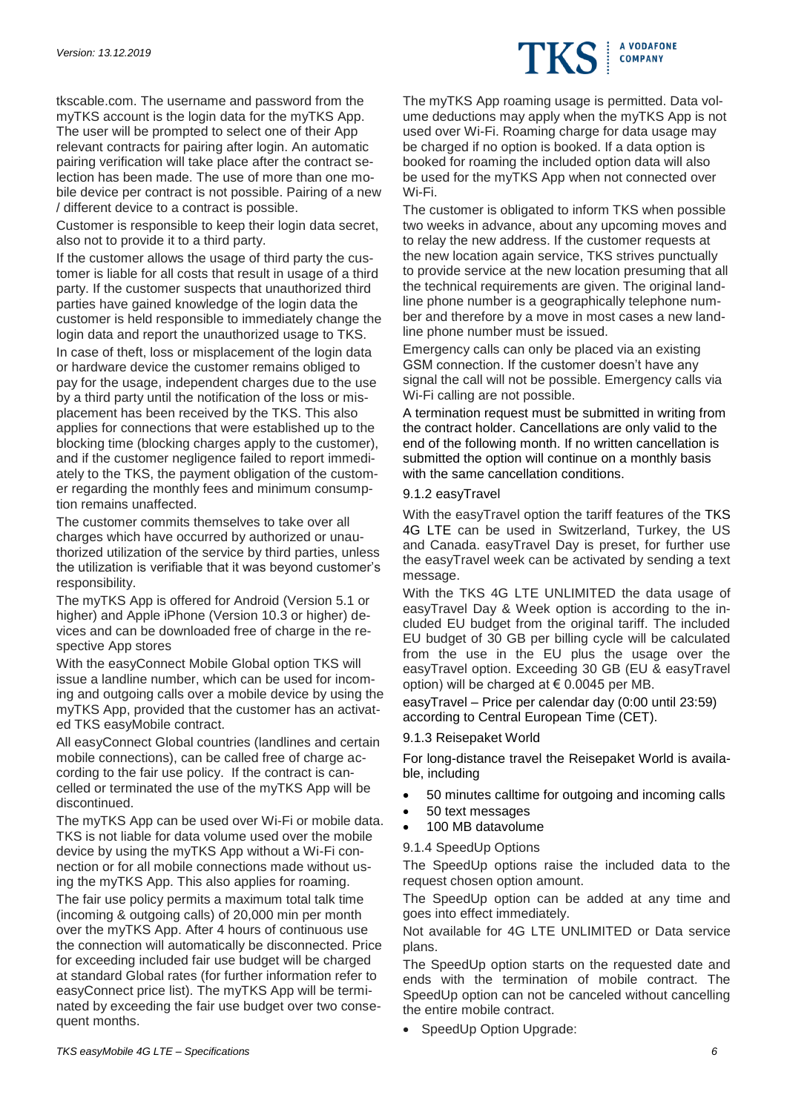tkscable.com. The username and password from the myTKS account is the login data for the myTKS App. The user will be prompted to select one of their App relevant contracts for pairing after login. An automatic pairing verification will take place after the contract selection has been made. The use of more than one mobile device per contract is not possible. Pairing of a new / different device to a contract is possible.

Customer is responsible to keep their login data secret, also not to provide it to a third party.

If the customer allows the usage of third party the customer is liable for all costs that result in usage of a third party. If the customer suspects that unauthorized third parties have gained knowledge of the login data the customer is held responsible to immediately change the login data and report the unauthorized usage to TKS. In case of theft, loss or misplacement of the login data or hardware device the customer remains obliged to pay for the usage, independent charges due to the use by a third party until the notification of the loss or misplacement has been received by the TKS. This also applies for connections that were established up to the blocking time (blocking charges apply to the customer), and if the customer negligence failed to report immediately to the TKS, the payment obligation of the customer regarding the monthly fees and minimum consumption remains unaffected.

The customer commits themselves to take over all charges which have occurred by authorized or unauthorized utilization of the service by third parties, unless the utilization is verifiable that it was beyond customer's responsibility.

The myTKS App is offered for Android (Version 5.1 or higher) and Apple iPhone (Version 10.3 or higher) devices and can be downloaded free of charge in the respective App stores

With the easyConnect Mobile Global option TKS will issue a landline number, which can be used for incoming and outgoing calls over a mobile device by using the myTKS App, provided that the customer has an activated TKS easyMobile contract.

All easyConnect Global countries (landlines and certain mobile connections), can be called free of charge according to the fair use policy. If the contract is cancelled or terminated the use of the myTKS App will be discontinued.

The myTKS App can be used over Wi-Fi or mobile data. TKS is not liable for data volume used over the mobile device by using the myTKS App without a Wi-Fi connection or for all mobile connections made without using the myTKS App. This also applies for roaming.

The fair use policy permits a maximum total talk time (incoming & outgoing calls) of 20,000 min per month over the myTKS App. After 4 hours of continuous use the connection will automatically be disconnected. Price for exceeding included fair use budget will be charged at standard Global rates (for further information refer to easyConnect price list). The myTKS App will be terminated by exceeding the fair use budget over two consequent months.

The myTKS App roaming usage is permitted. Data volume deductions may apply when the myTKS App is not used over Wi-Fi. Roaming charge for data usage may be charged if no option is booked. If a data option is booked for roaming the included option data will also be used for the myTKS App when not connected over Wi-Fi.

A VODAFONE **COMPANY** 

The customer is obligated to inform TKS when possible two weeks in advance, about any upcoming moves and to relay the new address. If the customer requests at the new location again service, TKS strives punctually to provide service at the new location presuming that all the technical requirements are given. The original landline phone number is a geographically telephone number and therefore by a move in most cases a new landline phone number must be issued.

Emergency calls can only be placed via an existing GSM connection. If the customer doesn't have any signal the call will not be possible. Emergency calls via Wi-Fi calling are not possible.

A termination request must be submitted in writing from the contract holder. Cancellations are only valid to the end of the following month. If no written cancellation is submitted the option will continue on a monthly basis with the same cancellation conditions.

## 9.1.2 easyTravel

With the easyTravel option the tariff features of the TKS 4G LTE can be used in Switzerland, Turkey, the US and Canada. easyTravel Day is preset, for further use the easyTravel week can be activated by sending a text message.

With the TKS 4G LTE UNLIMITED the data usage of easyTravel Day & Week option is according to the included EU budget from the original tariff. The included EU budget of 30 GB per billing cycle will be calculated from the use in the EU plus the usage over the easyTravel option. Exceeding 30 GB (EU & easyTravel option) will be charged at  $\epsilon$  0.0045 per MB.

easyTravel – Price per calendar day (0:00 until 23:59) according to Central European Time (CET).

## 9.1.3 Reisepaket World

For long-distance travel the Reisepaket World is available, including

- 50 minutes calltime for outgoing and incoming calls
- 50 text messages
- 100 MB datavolume

## 9.1.4 SpeedUp Options

The SpeedUp options raise the included data to the request chosen option amount.

The SpeedUp option can be added at any time and goes into effect immediately.

Not available for 4G LTE UNLIMITED or Data service plans.

The SpeedUp option starts on the requested date and ends with the termination of mobile contract. The SpeedUp option can not be canceled without cancelling the entire mobile contract.

• SpeedUp Option Upgrade: